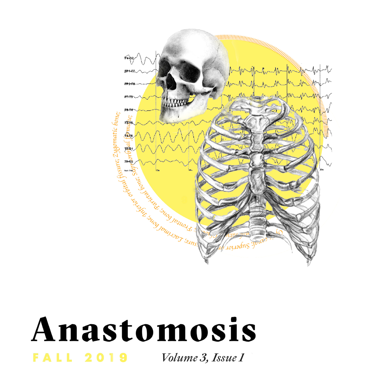

## Anastomosis **FALL 2019** Volume 3, Issue 1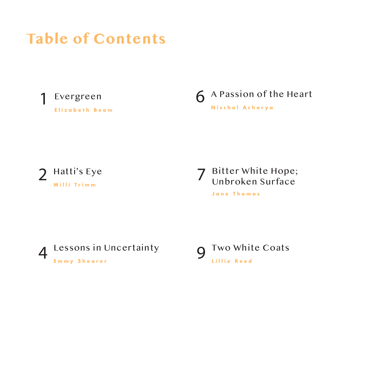## **Table of Contents**



**Elizabeth Beam**

6 A Passion of the Heart **Nischal Acharya**



7 Bitter White Hope; Unbroken Surface

**Jane Thomas**



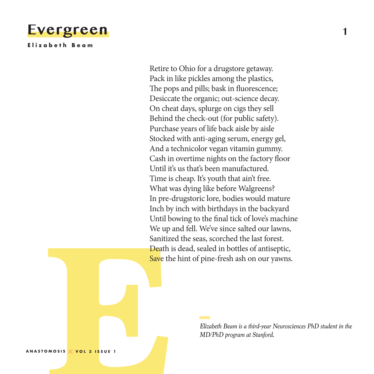

**Elizabeth Beam**

**E** Retire to Ohio for a drugstore getaway. Pack in like pickles among the plastics, The pops and pills; bask in fluorescence; Desiccate the organic; out-science decay. On cheat days, splurge on cigs they sell Behind the check-out (for public safety). Purchase years of life back aisle by aisle Stocked with anti-aging serum, energy gel, And a technicolor vegan vitamin gummy. Cash in overtime nights on the factory floor Until it's us that's been manufactured. Time is cheap. It's youth that ain't free. What was dying like before Walgreens? In pre-drugstoric lore, bodies would mature Inch by inch with birthdays in the backyard Until bowing to the fnal tick of love's machine We up and fell. We've since salted our lawns, Sanitized the seas, scorched the last forest. Death is dead, sealed in bottles of antiseptic, Save the hint of pine-fresh ash on our yawns.

*Elizabeth Beam is a third-year Neurosciences PhD student in the MD/PhD program at Stanford.*

**ANASTOMOSIS VOL 3 ISSUE 1**